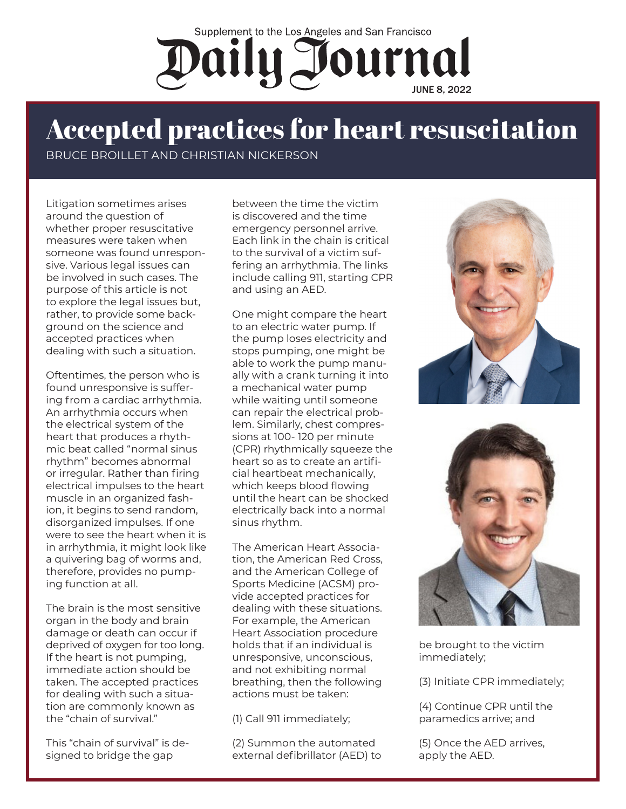## Supplement to the Los Angeles and San Francisco Daily Journal

## Accepted practices for heart resuscitation

BRUCE BROILLET AND CHRISTIAN NICKERSON

Litigation sometimes arises around the question of whether proper resuscitative measures were taken when someone was found unresponsive. Various legal issues can be involved in such cases. The purpose of this article is not to explore the legal issues but, rather, to provide some background on the science and accepted practices when dealing with such a situation.

Oftentimes, the person who is found unresponsive is suffering from a cardiac arrhythmia. An arrhythmia occurs when the electrical system of the heart that produces a rhythmic beat called "normal sinus rhythm" becomes abnormal or irregular. Rather than firing electrical impulses to the heart muscle in an organized fashion, it begins to send random, disorganized impulses. If one were to see the heart when it is in arrhythmia, it might look like a quivering bag of worms and, therefore, provides no pumping function at all.

The brain is the most sensitive organ in the body and brain damage or death can occur if deprived of oxygen for too long. If the heart is not pumping, immediate action should be taken. The accepted practices for dealing with such a situation are commonly known as the "chain of survival."

This "chain of survival" is designed to bridge the gap

between the time the victim is discovered and the time emergency personnel arrive. Each link in the chain is critical to the survival of a victim suffering an arrhythmia. The links include calling 911, starting CPR and using an AED.

One might compare the heart to an electric water pump. If the pump loses electricity and stops pumping, one might be able to work the pump manually with a crank turning it into a mechanical water pump while waiting until someone can repair the electrical problem. Similarly, chest compressions at 100- 120 per minute (CPR) rhythmically squeeze the heart so as to create an artificial heartbeat mechanically, which keeps blood flowing until the heart can be shocked electrically back into a normal sinus rhythm.

The American Heart Association, the American Red Cross, and the American College of Sports Medicine (ACSM) provide accepted practices for dealing with these situations. For example, the American Heart Association procedure holds that if an individual is unresponsive, unconscious, and not exhibiting normal breathing, then the following actions must be taken:

(1) Call 911 immediately;

(2) Summon the automated external defibrillator (AED) to





be brought to the victim immediately;

(3) Initiate CPR immediately;

(4) Continue CPR until the paramedics arrive; and

(5) Once the AED arrives, apply the AED.